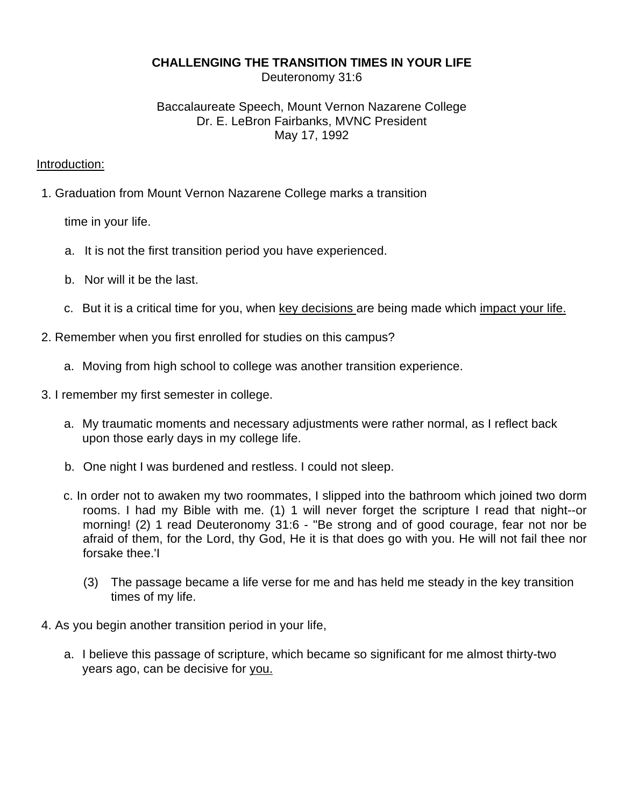## **CHALLENGING THE TRANSITION TIMES IN YOUR LIFE**

Deuteronomy 31:6

# Baccalaureate Speech, Mount Vernon Nazarene College Dr. E. LeBron Fairbanks, MVNC President May 17, 1992

### Introduction:

1. Graduation from Mount Vernon Nazarene College marks a transition

time in your life.

- a. It is not the first transition period you have experienced.
- b. Nor will it be the last.
- c. But it is a critical time for you, when key decisions are being made which impact your life.
- 2. Remember when you first enrolled for studies on this campus?
	- a. Moving from high school to college was another transition experience.
- 3. I remember my first semester in college.
	- a. My traumatic moments and necessary adjustments were rather normal, as I reflect back upon those early days in my college life.
	- b. One night I was burdened and restless. I could not sleep.
	- c. In order not to awaken my two roommates, I slipped into the bathroom which joined two dorm rooms. I had my Bible with me. (1) 1 will never forget the scripture I read that night--or morning! (2) 1 read Deuteronomy 31:6 - "Be strong and of good courage, fear not nor be afraid of them, for the Lord, thy God, He it is that does go with you. He will not fail thee nor forsake thee.'I
		- (3) The passage became a life verse for me and has held me steady in the key transition times of my life.
- 4. As you begin another transition period in your life,
	- a. I believe this passage of scripture, which became so significant for me almost thirty-two years ago, can be decisive for you.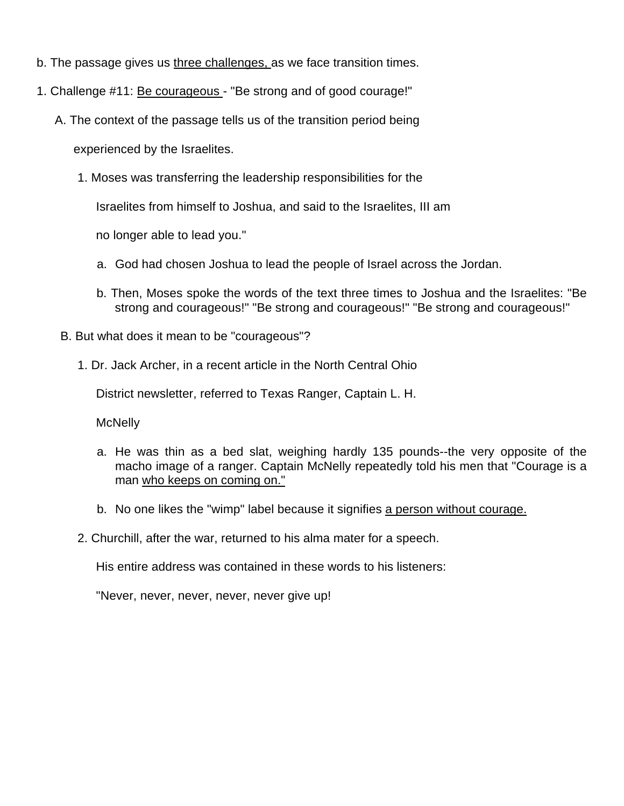- b. The passage gives us three challenges, as we face transition times.
- 1. Challenge #11: Be courageous "Be strong and of good courage!"
	- A. The context of the passage tells us of the transition period being

experienced by the Israelites.

1. Moses was transferring the leadership responsibilities for the

Israelites from himself to Joshua, and said to the Israelites, III am

no longer able to lead you."

- a. God had chosen Joshua to lead the people of Israel across the Jordan.
- b. Then, Moses spoke the words of the text three times to Joshua and the Israelites: "Be strong and courageous!" "Be strong and courageous!" "Be strong and courageous!"
- B. But what does it mean to be "courageous"?
	- 1. Dr. Jack Archer, in a recent article in the North Central Ohio

District newsletter, referred to Texas Ranger, Captain L. H.

**McNelly** 

- a. He was thin as a bed slat, weighing hardly 135 pounds--the very opposite of the macho image of a ranger. Captain McNelly repeatedly told his men that "Courage is a man who keeps on coming on."
- b. No one likes the "wimp" label because it signifies a person without courage.
- 2. Churchill, after the war, returned to his alma mater for a speech.

His entire address was contained in these words to his listeners:

"Never, never, never, never, never give up!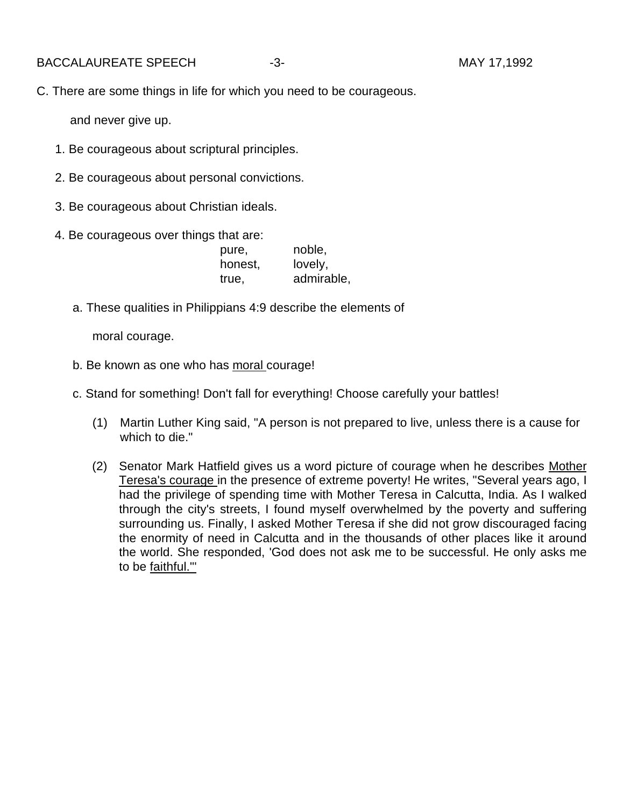BACCALAUREATE SPEECH -3- 3- CONSTRUCTED MAY 17,1992

C. There are some things in life for which you need to be courageous.

and never give up.

- 1. Be courageous about scriptural principles.
- 2. Be courageous about personal convictions.
- 3. Be courageous about Christian ideals.
- 4. Be courageous over things that are:

| pure,   | noble,     |
|---------|------------|
| honest, | lovely,    |
| true,   | admirable, |

a. These qualities in Philippians 4:9 describe the elements of

moral courage.

- b. Be known as one who has moral courage!
- c. Stand for something! Don't fall for everything! Choose carefully your battles!
	- (1) Martin Luther King said, "A person is not prepared to live, unless there is a cause for which to die."
	- (2) Senator Mark Hatfield gives us a word picture of courage when he describes Mother Teresa's courage in the presence of extreme poverty! He writes, "Several years ago, I had the privilege of spending time with Mother Teresa in Calcutta, India. As I walked through the city's streets, I found myself overwhelmed by the poverty and suffering surrounding us. Finally, I asked Mother Teresa if she did not grow discouraged facing the enormity of need in Calcutta and in the thousands of other places like it around the world. She responded, 'God does not ask me to be successful. He only asks me to be faithful."'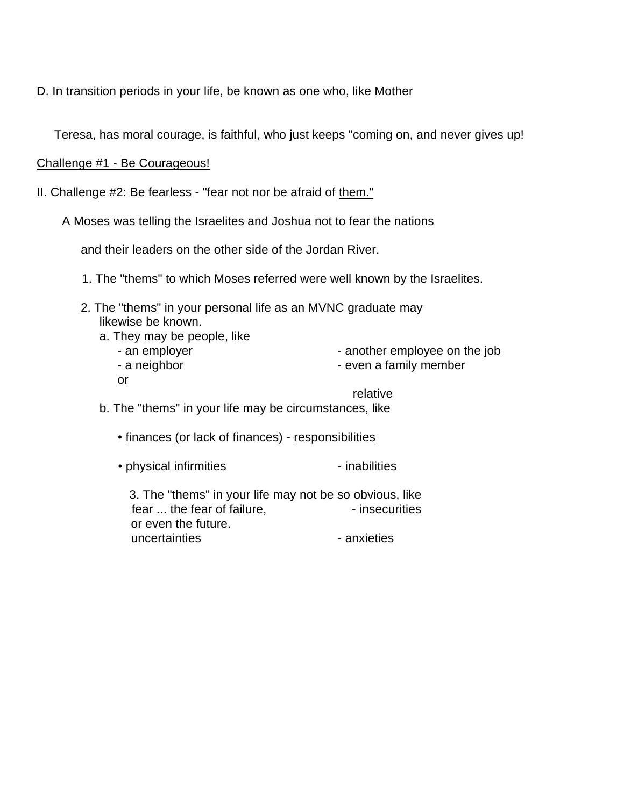D. In transition periods in your life, be known as one who, like Mother

Teresa, has moral courage, is faithful, who just keeps "coming on, and never gives up!

Challenge #1 - Be Courageous!

or

II. Challenge #2: Be fearless - "fear not nor be afraid of them."

A Moses was telling the Israelites and Joshua not to fear the nations

and their leaders on the other side of the Jordan River.

- 1. The "thems" to which Moses referred were well known by the Israelites.
- 2. The "thems" in your personal life as an MVNC graduate may likewise be known.
	- a. They may be people, like
		- - an employer end another employee on the job
			- a neighbor  **even a family member**

relative

b. The "thems" in your life may be circumstances, like

• finances (or lack of finances) - responsibilities

• physical infirmities **Fig. 1** inabilities

3. The "thems" in your life may not be so obvious, like fear ... the fear of failure, The securities or even the future. uncertainties **anxieties** anxieties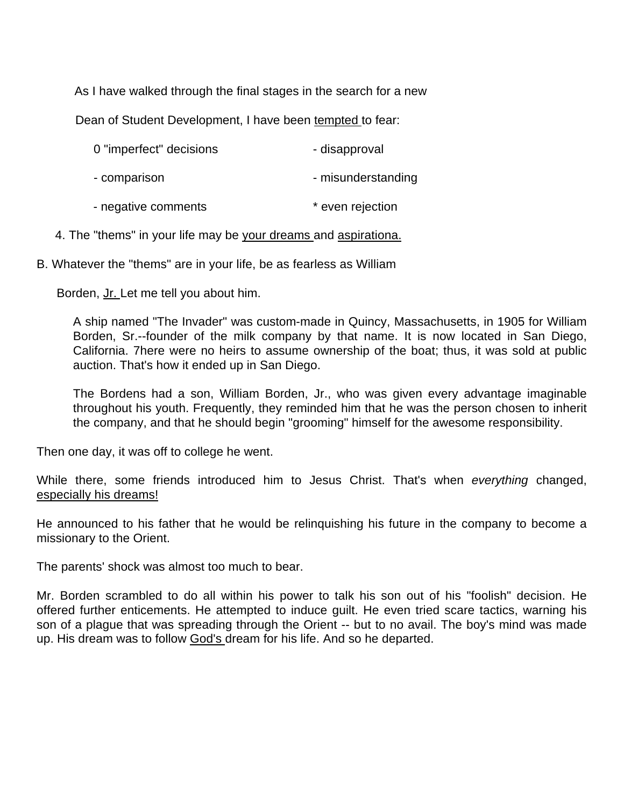As I have walked through the final stages in the search for a new

Dean of Student Development, I have been tempted to fear:

| 0 "imperfect" decisions | - disapproval      |
|-------------------------|--------------------|
| - comparison            | - misunderstanding |
| - negative comments     | * even rejection   |

4. The "thems" in your life may be your dreams and aspirationa.

B. Whatever the "thems" are in your life, be as fearless as William

Borden, Jr. Let me tell you about him.

A ship named "The Invader" was custom-made in Quincy, Massachusetts, in 1905 for William Borden, Sr.--founder of the milk company by that name. It is now located in San Diego, California. 7here were no heirs to assume ownership of the boat; thus, it was sold at public auction. That's how it ended up in San Diego.

The Bordens had a son, William Borden, Jr., who was given every advantage imaginable throughout his youth. Frequently, they reminded him that he was the person chosen to inherit the company, and that he should begin "grooming" himself for the awesome responsibility.

Then one day, it was off to college he went.

While there, some friends introduced him to Jesus Christ. That's when *everything* changed, especially his dreams!

He announced to his father that he would be relinquishing his future in the company to become a missionary to the Orient.

The parents' shock was almost too much to bear.

Mr. Borden scrambled to do all within his power to talk his son out of his "foolish" decision. He offered further enticements. He attempted to induce guilt. He even tried scare tactics, warning his son of a plague that was spreading through the Orient -- but to no avail. The boy's mind was made up. His dream was to follow God's dream for his life. And so he departed.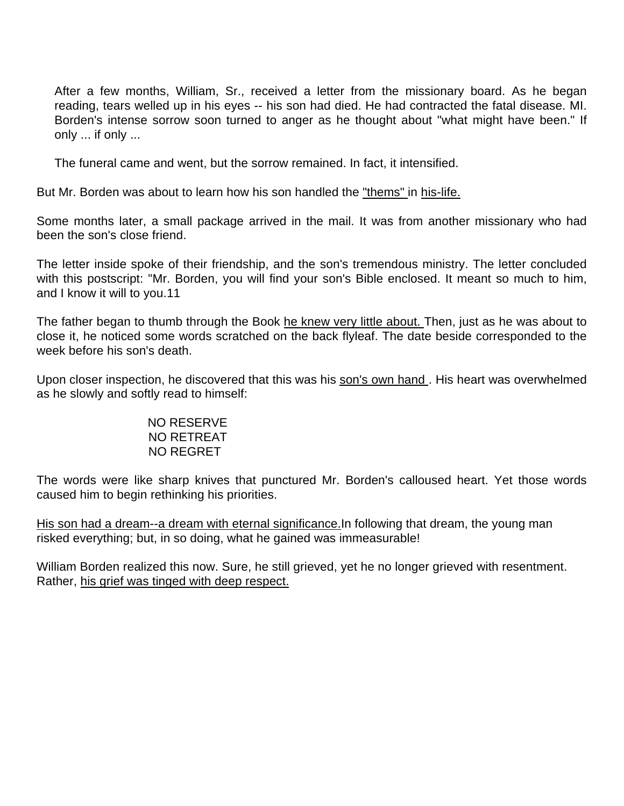After a few months, William, Sr., received a letter from the missionary board. As he began reading, tears welled up in his eyes -- his son had died. He had contracted the fatal disease. MI. Borden's intense sorrow soon turned to anger as he thought about "what might have been." If only ... if only ...

The funeral came and went, but the sorrow remained. In fact, it intensified.

But Mr. Borden was about to learn how his son handled the "thems" in his-life.

Some months later, a small package arrived in the mail. It was from another missionary who had been the son's close friend.

The letter inside spoke of their friendship, and the son's tremendous ministry. The letter concluded with this postscript: "Mr. Borden, you will find your son's Bible enclosed. It meant so much to him, and I know it will to you.11

The father began to thumb through the Book he knew very little about. Then, just as he was about to close it, he noticed some words scratched on the back flyleaf. The date beside corresponded to the week before his son's death.

Upon closer inspection, he discovered that this was his son's own hand. His heart was overwhelmed as he slowly and softly read to himself:

#### NO RESERVE NO RETREAT NO REGRET

The words were like sharp knives that punctured Mr. Borden's calloused heart. Yet those words caused him to begin rethinking his priorities.

His son had a dream--a dream with eternal significance.In following that dream, the young man risked everything; but, in so doing, what he gained was immeasurable!

William Borden realized this now. Sure, he still grieved, yet he no longer grieved with resentment. Rather, his grief was tinged with deep respect.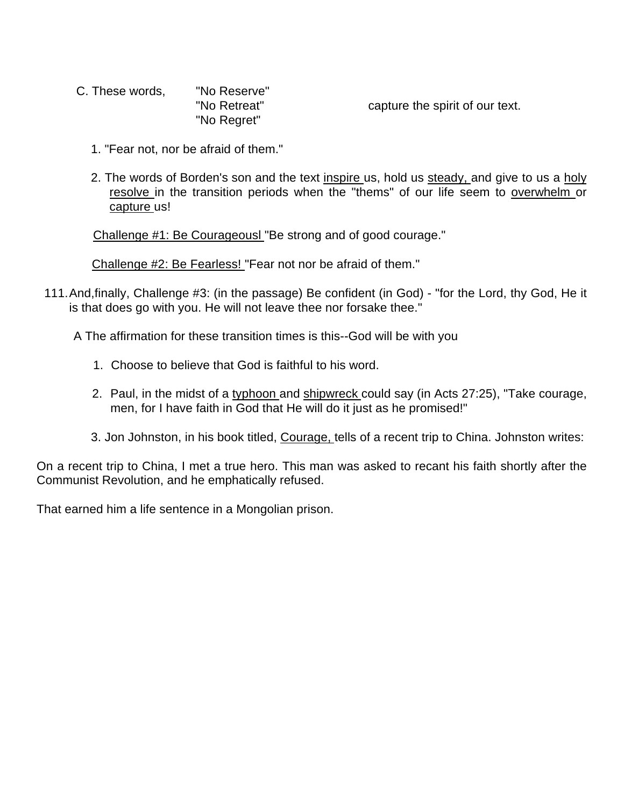C. These words, "No Reserve" "No Regret"

"No Retreat" capture the spirit of our text.

- 1. "Fear not, nor be afraid of them."
- 2. The words of Borden's son and the text inspire us, hold us steady, and give to us a holy resolve in the transition periods when the "thems" of our life seem to overwhelm or capture us!

Challenge #1: Be Courageousl "Be strong and of good courage."

Challenge #2: Be Fearless! "Fear not nor be afraid of them."

111.And,finally, Challenge #3: (in the passage) Be confident (in God) - "for the Lord, thy God, He it is that does go with you. He will not leave thee nor forsake thee."

A The affirmation for these transition times is this--God will be with you

- 1. Choose to believe that God is faithful to his word.
- 2. Paul, in the midst of a typhoon and shipwreck could say (in Acts 27:25), "Take courage, men, for I have faith in God that He will do it just as he promised!"
- 3. Jon Johnston, in his book titled, Courage, tells of a recent trip to China. Johnston writes:

On a recent trip to China, I met a true hero. This man was asked to recant his faith shortly after the Communist Revolution, and he emphatically refused.

That earned him a life sentence in a Mongolian prison.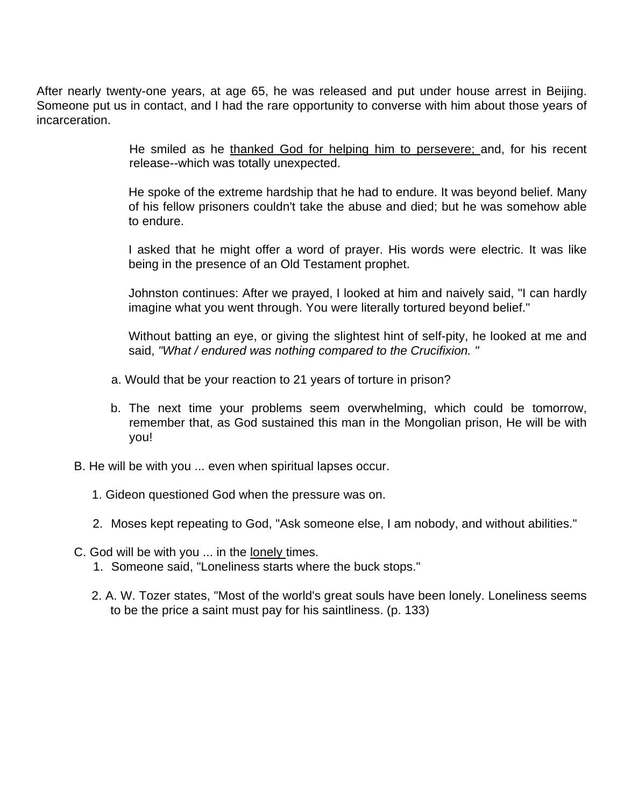After nearly twenty-one years, at age 65, he was released and put under house arrest in Beijing. Someone put us in contact, and I had the rare opportunity to converse with him about those years of incarceration.

> He smiled as he thanked God for helping him to persevere; and, for his recent release--which was totally unexpected.

> He spoke of the extreme hardship that he had to endure. It was beyond belief. Many of his fellow prisoners couldn't take the abuse and died; but he was somehow able to endure.

> I asked that he might offer a word of prayer. His words were electric. It was like being in the presence of an Old Testament prophet.

> Johnston continues: After we prayed, I looked at him and naively said, "I can hardly imagine what you went through. You were literally tortured beyond belief."

> Without batting an eye, or giving the slightest hint of self-pity, he looked at me and said, *"What / endured was nothing compared to the Crucifixion. "*

- a. Would that be your reaction to 21 years of torture in prison?
- b. The next time your problems seem overwhelming, which could be tomorrow, remember that, as God sustained this man in the Mongolian prison, He will be with you!
- B. He will be with you ... even when spiritual lapses occur.
	- 1. Gideon questioned God when the pressure was on.
	- 2. Moses kept repeating to God, "Ask someone else, I am nobody, and without abilities."
- C. God will be with you ... in the lonely times.
	- 1. Someone said, "Loneliness starts where the buck stops."
	- 2. A. W. Tozer states, "Most of the world's great souls have been lonely. Loneliness seems to be the price a saint must pay for his saintliness. (p. 133)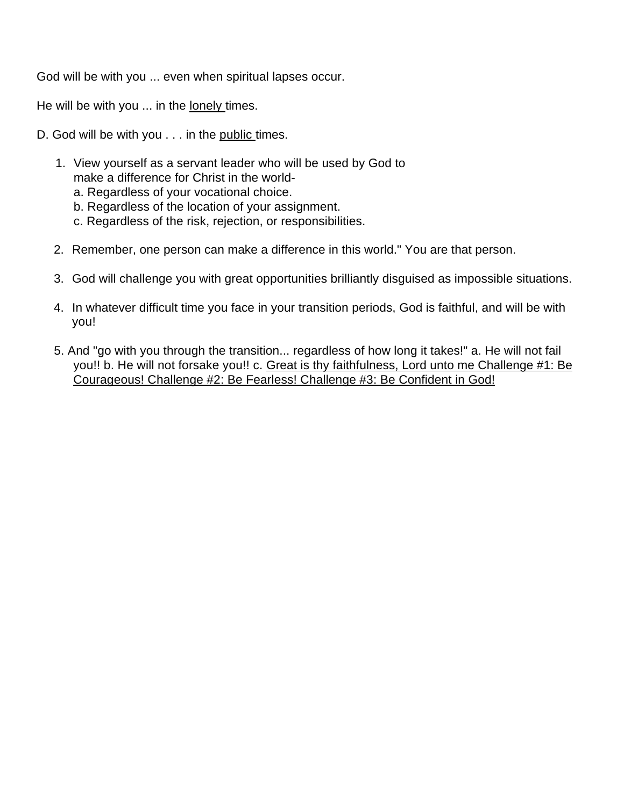God will be with you ... even when spiritual lapses occur.

He will be with you ... in the lonely times.

D. God will be with you . . . in the public times.

- 1. View yourself as a servant leader who will be used by God to make a difference for Christ in the world
	- a. Regardless of your vocational choice.
	- b. Regardless of the location of your assignment.
	- c. Regardless of the risk, rejection, or responsibilities.
- 2. Remember, one person can make a difference in this world." You are that person.
- 3. God will challenge you with great opportunities brilliantly disguised as impossible situations.
- 4. In whatever difficult time you face in your transition periods, God is faithful, and will be with you!
- 5. And "go with you through the transition... regardless of how long it takes!" a. He will not fail you!! b. He will not forsake you!! c. Great is thy faithfulness, Lord unto me Challenge #1: Be Courageous! Challenge #2: Be Fearless! Challenge #3: Be Confident in God!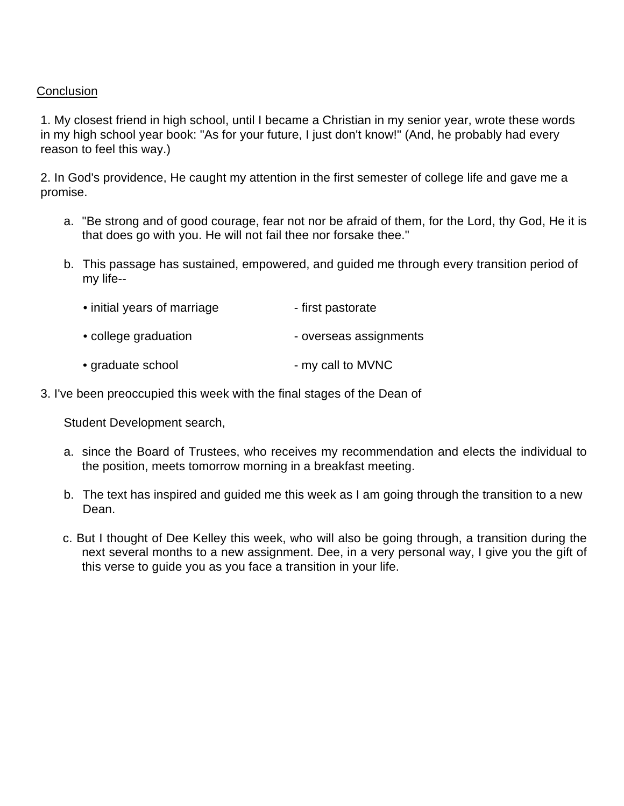# **Conclusion**

1. My closest friend in high school, until I became a Christian in my senior year, wrote these words in my high school year book: "As for your future, I just don't know!" (And, he probably had every reason to feel this way.)

2. In God's providence, He caught my attention in the first semester of college life and gave me a promise.

- a. "Be strong and of good courage, fear not nor be afraid of them, for the Lord, thy God, He it is that does go with you. He will not fail thee nor forsake thee."
- b. This passage has sustained, empowered, and guided me through every transition period of my life--
	- initial years of marriage First pastorate • college graduation - overseas assignments
	- graduate school **called a matter in the set of the set of the set of the set of the set of the set of the set of the set of the set of the set of the set of the set of the set of the set of the set of the set of the set**
- 3. I've been preoccupied this week with the final stages of the Dean of

Student Development search,

- a. since the Board of Trustees, who receives my recommendation and elects the individual to the position, meets tomorrow morning in a breakfast meeting.
- b. The text has inspired and guided me this week as I am going through the transition to a new Dean.
- c. But I thought of Dee Kelley this week, who will also be going through, a transition during the next several months to a new assignment. Dee, in a very personal way, I give you the gift of this verse to guide you as you face a transition in your life.